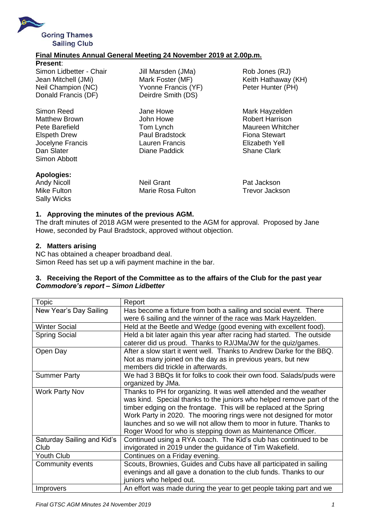

## **Final Minutes Annual General Meeting 24 November 2019 at 2.00p.m.**

| <b>Present:</b>         |
|-------------------------|
| Simon Lidbetter - Chair |
| Jean Mitchell (JMi)     |
| Neil Champion (NC)      |
| Donald Francis (DF)     |

Simon Reed **Summan Howe** Jane Howe **Mark Hayzelden** Matthew Brown **Matthew Brown** John Howe Robert Harrison Elspeth Drew Paul Bradstock Fiona Stewart Jocelyne Francis Lauren Francis Elizabeth Yell Simon Abbott

Jill Marsden (JMa) Rob Jones (RJ) Yvonne Francis (YF) Peter Hunter (PH) Deirdre Smith (DS)

Diane Paddick Shane Clark

Mark Foster (MF) **Keith Hathaway (KH)** 

Pete Barefield **Tom Lynch** Tom Lynch Maureen Whitcher

## **Apologies:**

Sally Wicks

Andy Nicoll Neil Grant Pat Jackson Mike Fulton Marie Rosa Fulton Trevor Jackson

## **1. Approving the minutes of the previous AGM.**

The draft minutes of 2018 AGM were presented to the AGM for approval. Proposed by Jane Howe, seconded by Paul Bradstock, approved without objection.

#### **2. Matters arising**

NC has obtained a cheaper broadband deal. Simon Reed has set up a wifi payment machine in the bar.

## **3. Receiving the Report of the Committee as to the affairs of the Club for the past year** *Commodore's report – Simon Lidbetter*

| Topic                      | Report                                                                 |
|----------------------------|------------------------------------------------------------------------|
| New Year's Day Sailing     | Has become a fixture from both a sailing and social event. There       |
|                            | were 6 sailing and the winner of the race was Mark Hayzelden.          |
| <b>Winter Social</b>       | Held at the Beetle and Wedge (good evening with excellent food).       |
| <b>Spring Social</b>       | Held a bit later again this year after racing had started. The outside |
|                            | caterer did us proud. Thanks to RJ/JMa/JW for the quiz/games.          |
| Open Day                   | After a slow start it went well. Thanks to Andrew Darke for the BBQ.   |
|                            | Not as many joined on the day as in previous years, but new            |
|                            | members did trickle in afterwards.                                     |
| <b>Summer Party</b>        | We had 3 BBQs lit for folks to cook their own food. Salads/puds were   |
|                            | organized by JMa.                                                      |
| <b>Work Party Nov</b>      | Thanks to PH for organizing. It was well attended and the weather      |
|                            | was kind. Special thanks to the juniors who helped remove part of the  |
|                            | timber edging on the frontage. This will be replaced at the Spring     |
|                            | Work Party in 2020. The mooring rings were not designed for motor      |
|                            | launches and so we will not allow them to moor in future. Thanks to    |
|                            | Roger Wood for who is stepping down as Maintenance Officer.            |
| Saturday Sailing and Kid's | Continued using a RYA coach. The Kid's club has continued to be        |
| Club                       | invigorated in 2019 under the guidance of Tim Wakefield.               |
| <b>Youth Club</b>          | Continues on a Friday evening.                                         |
| Community events           | Scouts, Brownies, Guides and Cubs have all participated in sailing     |
|                            | evenings and all gave a donation to the club funds. Thanks to our      |
|                            | juniors who helped out.                                                |
| <i>Improvers</i>           | An effort was made during the year to get people taking part and we    |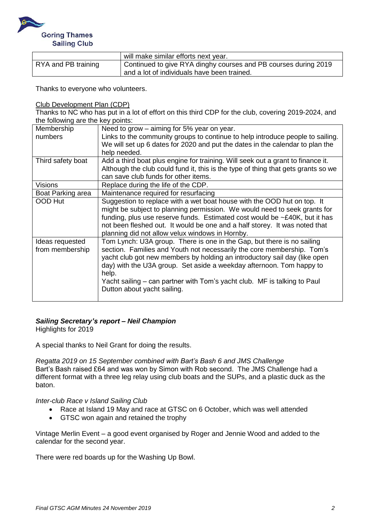

|                     | will make similar efforts next year.                            |
|---------------------|-----------------------------------------------------------------|
| RYA and PB training | Continued to give RYA dinghy courses and PB courses during 2019 |
|                     | and a lot of individuals have been trained.                     |

Thanks to everyone who volunteers.

Club Development Plan (CDP)

Thanks to NC who has put in a lot of effort on this third CDP for the club, covering 2019-2024, and the following are the key points:

| Membership        | Need to grow $-$ aiming for 5% year on year.                                      |
|-------------------|-----------------------------------------------------------------------------------|
| numbers           | Links to the community groups to continue to help introduce people to sailing.    |
|                   | We will set up 6 dates for 2020 and put the dates in the calendar to plan the     |
|                   | help needed.                                                                      |
| Third safety boat | Add a third boat plus engine for training. Will seek out a grant to finance it.   |
|                   | Although the club could fund it, this is the type of thing that gets grants so we |
|                   | can save club funds for other items.                                              |
| <b>Visions</b>    | Replace during the life of the CDP.                                               |
| Boat Parking area | Maintenance required for resurfacing                                              |
| OOD Hut           | Suggestion to replace with a wet boat house with the OOD hut on top. It           |
|                   | might be subject to planning permission. We would need to seek grants for         |
|                   | funding, plus use reserve funds. Estimated cost would be $\sim$ £40K, but it has  |
|                   | not been fleshed out. It would be one and a half storey. It was noted that        |
|                   | planning did not allow velux windows in Hornby.                                   |
| Ideas requested   | Tom Lynch: U3A group. There is one in the Gap, but there is no sailing            |
| from membership   | section. Families and Youth not necessarily the core membership. Tom's            |
|                   | yacht club got new members by holding an introductory sail day (like open         |
|                   | day) with the U3A group. Set aside a weekday afternoon. Tom happy to              |
|                   | help.                                                                             |
|                   | Yacht sailing – can partner with Tom's yacht club. MF is talking to Paul          |
|                   | Dutton about yacht sailing.                                                       |
|                   |                                                                                   |

# *Sailing Secretary's report – Neil Champion*

Highlights for 2019

A special thanks to Neil Grant for doing the results.

*Regatta 2019 on 15 September combined with Bart's Bash 6 and JMS Challenge* Bart's Bash raised £64 and was won by Simon with Rob second. The JMS Challenge had a different format with a three leg relay using club boats and the SUPs, and a plastic duck as the baton.

#### *Inter-club Race v Island Sailing Club*

- Race at Island 19 May and race at GTSC on 6 October, which was well attended
- GTSC won again and retained the trophy

Vintage Merlin Event – a good event organised by Roger and Jennie Wood and added to the calendar for the second year.

There were red boards up for the Washing Up Bowl.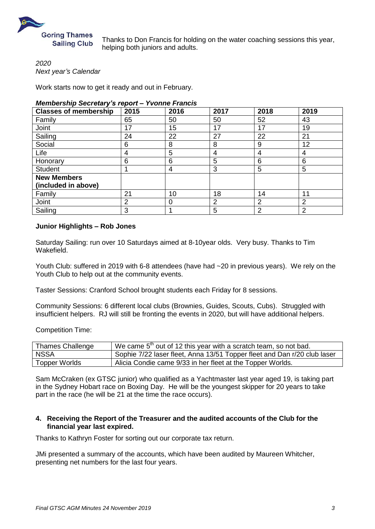

Thanks to Don Francis for holding on the water coaching sessions this year, helping both juniors and adults.

*2020 Next year's Calendar*

Work starts now to get it ready and out in February.

#### *Membership Secretary's report – Yvonne Francis*

| <b>Classes of membership</b> | 2015 | 2016 | 2017           | 2018           | 2019           |
|------------------------------|------|------|----------------|----------------|----------------|
| Family                       | 65   | 50   | 50             | 52             | 43             |
| Joint                        | 17   | 15   | 17             | 17             | 19             |
| Sailing                      | 24   | 22   | 27             | 22             | 21             |
| Social                       | 6    | 8    | 8              | 9              | 12             |
| Life                         | 4    | 5    | 4              | 4              | 4              |
| Honorary                     | 6    | 6    | 5              | 6              | 6              |
| <b>Student</b>               |      | 4    | 3              | 5              | 5              |
| <b>New Members</b>           |      |      |                |                |                |
| (included in above)          |      |      |                |                |                |
| Family                       | 21   | 10   | 18             | 14             | 11             |
| Joint                        | 2    | 0    | $\overline{2}$ | $\overline{2}$ | $\overline{2}$ |
| Sailing                      | 3    |      | 5              | 2              | $\overline{2}$ |

# **Junior Highlights – Rob Jones**

Saturday Sailing: run over 10 Saturdays aimed at 8-10year olds. Very busy. Thanks to Tim Wakefield.

Youth Club: suffered in 2019 with 6-8 attendees (have had ~20 in previous years). We rely on the Youth Club to help out at the community events.

Taster Sessions: Cranford School brought students each Friday for 8 sessions.

Community Sessions: 6 different local clubs (Brownies, Guides, Scouts, Cubs). Struggled with insufficient helpers. RJ will still be fronting the events in 2020, but will have additional helpers.

Competition Time:

| <b>Thames Challenge</b> | We came 5 <sup>th</sup> out of 12 this year with a scratch team, so not bad. |
|-------------------------|------------------------------------------------------------------------------|
| <b>NSSA</b>             | Sophie 7/22 laser fleet, Anna 13/51 Topper fleet and Dan r/20 club laser     |
| Topper Worlds           | Alicia Condie came 9/33 in her fleet at the Topper Worlds.                   |

Sam McCraken (ex GTSC junior) who qualified as a Yachtmaster last year aged 19, is taking part in the Sydney Hobart race on Boxing Day. He will be the youngest skipper for 20 years to take part in the race (he will be 21 at the time the race occurs).

#### **4. Receiving the Report of the Treasurer and the audited accounts of the Club for the financial year last expired.**

Thanks to Kathryn Foster for sorting out our corporate tax return.

JMi presented a summary of the accounts, which have been audited by Maureen Whitcher, presenting net numbers for the last four years.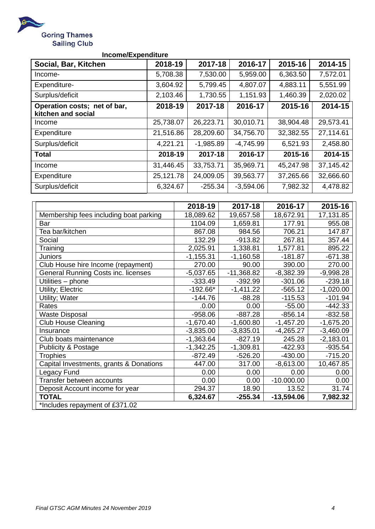

# **Income/Expenditure**

| Social, Bar, Kitchen                               | 2018-19   | 2017-18     | 2016-17     | 2015-16   | 2014-15   |
|----------------------------------------------------|-----------|-------------|-------------|-----------|-----------|
| Income-                                            | 5,708.38  | 7,530.00    | 5,959.00    | 6,363.50  | 7,572.01  |
| Expenditure-                                       | 3,604.92  | 5,799.45    | 4,807.07    | 4,883.11  | 5,551.99  |
| Surplus/deficit                                    | 2,103.46  | 1,730.55    | 1,151.93    | 1,460.39  | 2,020.02  |
| Operation costs; net of bar,<br>kitchen and social | 2018-19   | 2017-18     | 2016-17     | 2015-16   | 2014-15   |
| Income                                             | 25,738.07 | 26,223.71   | 30,010.71   | 38,904.48 | 29,573.41 |
| Expenditure                                        | 21,516.86 | 28,209.60   | 34,756.70   | 32,382.55 | 27,114.61 |
| Surplus/deficit                                    | 4,221.21  | $-1,985.89$ | $-4,745.99$ | 6,521.93  | 2,458.80  |
| <b>Total</b>                                       | 2018-19   | 2017-18     | 2016-17     | 2015-16   | 2014-15   |
| Income                                             | 31,446.45 | 33,753.71   | 35,969.71   | 45,247.98 | 37,145.42 |
| Expenditure                                        | 25,121.78 | 24,009.05   | 39,563.77   | 37,265.66 | 32,666.60 |
| Surplus/deficit                                    | 6,324.67  | $-255.34$   | $-3,594.06$ | 7,982.32  | 4,478.82  |

|                                            | 2018-19     | 2017-18      | 2016-17      | 2015-16     |
|--------------------------------------------|-------------|--------------|--------------|-------------|
| Membership fees including boat parking     | 18,089.62   | 19,657.58    | 18,672.91    | 17,131.85   |
| Bar                                        | 1104.09     | 1,659.81     | 177.91       | 955.08      |
| Tea bar/kitchen                            | 867.08      | 984.56       | 706.21       | 147.87      |
| Social                                     | 132.29      | $-913.82$    | 267.81       | 357.44      |
| Training                                   | 2,025.91    | 1,338.81     | 1,577.81     | 895.22      |
| <b>Juniors</b>                             | $-1,155.31$ | $-1,160.58$  | $-181.87$    | $-671.38$   |
| Club House hire Income (repayment)         | 270.00      | 90.00        | 390.00       | 270.00      |
| <b>General Running Costs inc. licenses</b> | $-5,037.65$ | $-11,368.82$ | $-8,382.39$  | $-9,998.28$ |
| Utilities - phone                          | $-333.49$   | $-392.99$    | $-301.06$    | $-239.18$   |
| Utility; Electric                          | $-192.66*$  | $-1,411.22$  | $-565.12$    | $-1,020.00$ |
| Utility; Water                             | $-144.76$   | $-88.28$     | $-115.53$    | $-101.94$   |
| Rates                                      | 0.00        | 0.00         | $-55.00$     | $-442.33$   |
| <b>Waste Disposal</b>                      | $-958.06$   | $-887.28$    | $-856.14$    | $-832.58$   |
| <b>Club House Cleaning</b>                 | $-1,670.40$ | $-1,600.80$  | $-1,457.20$  | $-1,675.20$ |
| Insurance                                  | $-3,835.00$ | $-3,835.01$  | $-4,265.27$  | $-3,460.09$ |
| Club boats maintenance                     | $-1,363.64$ | $-827.19$    | 245.28       | $-2,183.01$ |
| <b>Publicity &amp; Postage</b>             | $-1,342.25$ | $-1,309.81$  | -422.93      | $-935.54$   |
| <b>Trophies</b>                            | $-872.49$   | $-526.20$    | $-430.00$    | $-715.20$   |
| Capital Investments, grants & Donations    | 447.00      | 317.00       | $-8,613.00$  | 10,467.85   |
| Legacy Fund                                | 0.00        | 0.00         | 0.00         | 0.00        |
| Transfer between accounts                  | 0.00        | 0.00         | $-10.000.00$ | 0.00        |
| Deposit Account income for year            | 294.37      | 18.90        | 13.52        | 31.74       |
| <b>TOTAL</b>                               | 6,324.67    | $-255.34$    | $-13,594.06$ | 7,982.32    |
| *Includes repayment of £371.02             |             |              |              |             |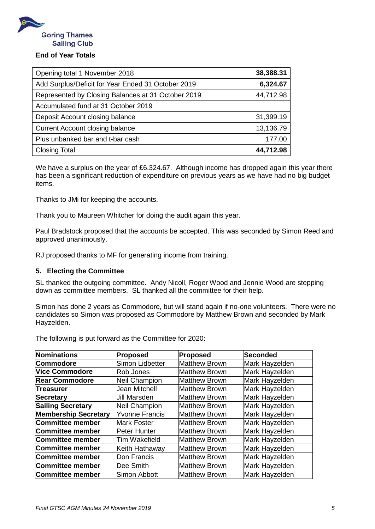

# **End of Year Totals**

| Opening total 1 November 2018                      | 38,388.31 |
|----------------------------------------------------|-----------|
| Add Surplus/Deficit for Year Ended 31 October 2019 | 6,324.67  |
| Represented by Closing Balances at 31 October 2019 | 44,712.98 |
| Accumulated fund at 31 October 2019                |           |
| Deposit Account closing balance                    | 31,399.19 |
| <b>Current Account closing balance</b>             | 13,136.79 |
| Plus unbanked bar and t-bar cash                   | 177.00    |
| <b>Closing Total</b>                               | 44,712.98 |

We have a surplus on the year of £6,324.67. Although income has dropped again this year there has been a significant reduction of expenditure on previous years as we have had no big budget items.

Thanks to JMi for keeping the accounts.

Thank you to Maureen Whitcher for doing the audit again this year.

Paul Bradstock proposed that the accounts be accepted. This was seconded by Simon Reed and approved unanimously.

RJ proposed thanks to MF for generating income from training.

# **5. Electing the Committee**

SL thanked the outgoing committee. Andy Nicoll, Roger Wood and Jennie Wood are stepping down as committee members. SL thanked all the committee for their help.

Simon has done 2 years as Commodore, but will stand again if no-one volunteers. There were no candidates so Simon was proposed as Commodore by Matthew Brown and seconded by Mark Hayzelden.

The following is put forward as the Committee for 2020:

| Nominations                 | Proposed              | <b>Proposed</b>      | <b>Seconded</b> |
|-----------------------------|-----------------------|----------------------|-----------------|
| Commodore                   | Simon Lidbetter       | <b>Matthew Brown</b> | Mark Hayzelden  |
| <b>Vice Commodore</b>       | Rob Jones             | <b>Matthew Brown</b> | Mark Hayzelden  |
| <b>Rear Commodore</b>       | Neil Champion         | <b>Matthew Brown</b> | Mark Hayzelden  |
| <b>Treasurer</b>            | Jean Mitchell         | <b>Matthew Brown</b> | Mark Hayzelden  |
| Secretary                   | <b>Jill Marsden</b>   | <b>Matthew Brown</b> | Mark Hayzelden  |
| <b>Sailing Secretary</b>    | Neil Champion         | <b>Matthew Brown</b> | Mark Hayzelden  |
| <b>Membership Secretary</b> | <b>Yvonne Francis</b> | Matthew Brown        | Mark Hayzelden  |
| Committee member            | <b>Mark Foster</b>    | <b>Matthew Brown</b> | Mark Hayzelden  |
| Committee member            | Peter Hunter          | <b>Matthew Brown</b> | Mark Hayzelden  |
| Committee member            | Tim Wakefield         | <b>Matthew Brown</b> | Mark Hayzelden  |
| Committee member            | Keith Hathaway        | <b>Matthew Brown</b> | Mark Hayzelden  |
| Committee member            | Don Francis           | <b>Matthew Brown</b> | Mark Hayzelden  |
| Committee member            | Dee Smith             | <b>Matthew Brown</b> | Mark Hayzelden  |
| Committee member            | Simon Abbott          | <b>Matthew Brown</b> | Mark Hayzelden  |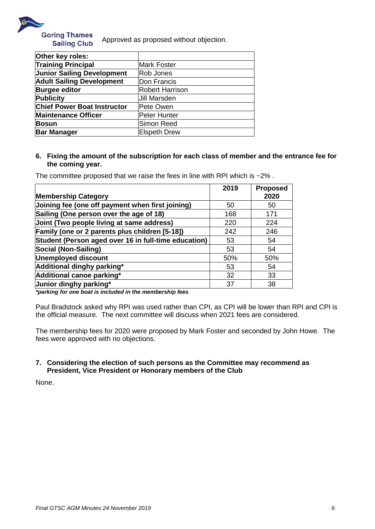

**Goring Thames** Approved as proposed without objection. **Sailing Club** 

| Other key roles:                   |                        |
|------------------------------------|------------------------|
| <b>Training Principal</b>          | <b>Mark Foster</b>     |
| <b>Junior Sailing Development</b>  | Rob Jones              |
| <b>Adult Sailing Development</b>   | Don Francis            |
| <b>Burgee editor</b>               | <b>Robert Harrison</b> |
| <b>Publicity</b>                   | <b>Jill Marsden</b>    |
| <b>Chief Power Boat Instructor</b> | Pete Owen              |
| <b>Maintenance Officer</b>         | Peter Hunter           |
| <b>Bosun</b>                       | Simon Reed             |
| <b>Bar Manager</b>                 | <b>Elspeth Drew</b>    |

## **6. Fixing the amount of the subscription for each class of member and the entrance fee for the coming year.**

The committee proposed that we raise the fees in line with RPI which is  $\sim$ 2%.

|                                                      | 2019 | <b>Proposed</b> |
|------------------------------------------------------|------|-----------------|
| <b>Membership Category</b>                           |      | 2020            |
| Joining fee (one off payment when first joining)     | 50   | 50              |
| Sailing (One person over the age of 18)              | 168  | 171             |
| Joint (Two people living at same address)            | 220  | 224             |
| Family (one or 2 parents plus children [5-18])       | 242  | 246             |
| Student (Person aged over 16 in full-time education) | 53   | 54              |
| Social (Non-Sailing)                                 | 53   | 54              |
| Unemployed discount                                  | 50%  | 50%             |
| Additional dinghy parking*                           | 53   | 54              |
| Additional canoe parking*                            | 32   | 33              |
| Junior dinghy parking*                               | 37   | 38              |

*\*parking for one boat is included in the membership fees*

Paul Bradstock asked why RPI was used rather than CPI, as CPI will be lower than RPI and CPI is the official measure. The next committee will discuss when 2021 fees are considered.

The membership fees for 2020 were proposed by Mark Foster and seconded by John Howe. The fees were approved with no objections.

# **7. Considering the election of such persons as the Committee may recommend as President, Vice President or Honorary members of the Club**

None.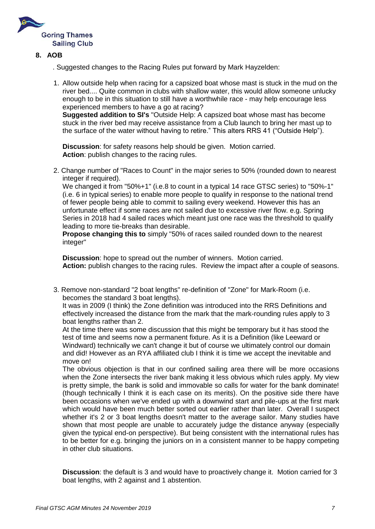

- **8. AOB**
	- . Suggested changes to the Racing Rules put forward by Mark Hayzelden:
	- 1. Allow outside help when racing for a capsized boat whose mast is stuck in the mud on the river bed.... Quite common in clubs with shallow water, this would allow someone unlucky enough to be in this situation to still have a worthwhile race - may help encourage less experienced members to have a go at racing?

**Suggested addition to SI's** "Outside Help: A capsized boat whose mast has become stuck in the river bed may receive assistance from a Club launch to bring her mast up to the surface of the water without having to retire." This alters RRS 41 ("Outside Help").

**Discussion**: for safety reasons help should be given. Motion carried. **Action**: publish changes to the racing rules.

2. Change number of "Races to Count" in the major series to 50% (rounded down to nearest integer if required).

We changed it from "50%+1" (i.e.8 to count in a typical 14 race GTSC series) to "50%-1" (i.e. 6 in typical series) to enable more people to qualify in response to the national trend of fewer people being able to commit to sailing every weekend. However this has an unfortunate effect if some races are not sailed due to excessive river flow. e.g. Spring Series in 2018 had 4 sailed races which meant just one race was the threshold to qualify leading to more tie-breaks than desirable.

**Propose changing this to** simply "50% of races sailed rounded down to the nearest integer"

**Discussion**: hope to spread out the number of winners. Motion carried. **Action:** publish changes to the racing rules. Review the impact after a couple of seasons.

3. Remove non-standard "2 boat lengths" re-definition of "Zone" for Mark-Room (i.e. becomes the standard 3 boat lengths).

It was in 2009 (I think) the Zone definition was introduced into the RRS Definitions and effectively increased the distance from the mark that the mark-rounding rules apply to 3 boat lengths rather than 2.

At the time there was some discussion that this might be temporary but it has stood the test of time and seems now a permanent fixture. As it is a Definition (like Leeward or Windward) technically we can't change it but of course we ultimately control our domain and did! However as an RYA affiliated club I think it is time we accept the inevitable and move on!

The obvious objection is that in our confined sailing area there will be more occasions when the Zone intersects the river bank making it less obvious which rules apply. My view is pretty simple, the bank is solid and immovable so calls for water for the bank dominate! (though technically I think it is each case on its merits). On the positive side there have been occasions when we've ended up with a downwind start and pile-ups at the first mark which would have been much better sorted out earlier rather than later. Overall I suspect whether it's 2 or 3 boat lengths doesn't matter to the average sailor. Many studies have shown that most people are unable to accurately judge the distance anyway (especially given the typical end-on perspective). But being consistent with the international rules has to be better for e.g. bringing the juniors on in a consistent manner to be happy competing in other club situations.

**Discussion**: the default is 3 and would have to proactively change it. Motion carried for 3 boat lengths, with 2 against and 1 abstention.